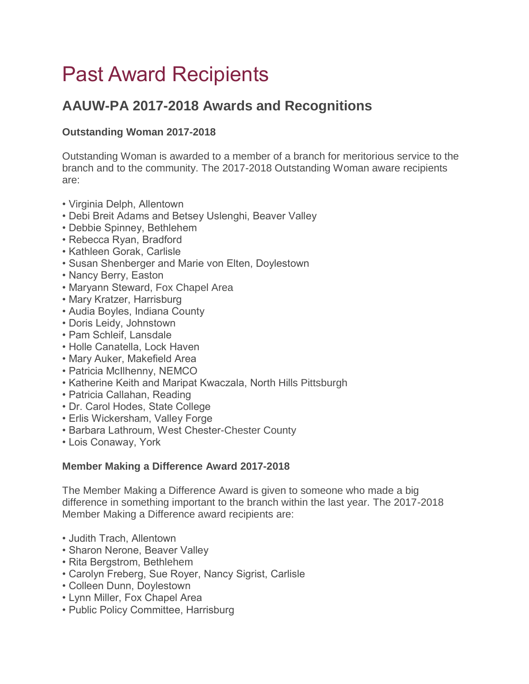# Past Award Recipients

## **AAUW-PA 2017-2018 Awards and Recognitions**

### **Outstanding Woman 2017-2018**

Outstanding Woman is awarded to a member of a branch for meritorious service to the branch and to the community. The 2017-2018 Outstanding Woman aware recipients are:

- Virginia Delph, Allentown
- Debi Breit Adams and Betsey Uslenghi, Beaver Valley
- Debbie Spinney, Bethlehem
- Rebecca Ryan, Bradford
- Kathleen Gorak, Carlisle
- Susan Shenberger and Marie von Elten, Doylestown
- Nancy Berry, Easton
- Maryann Steward, Fox Chapel Area
- Mary Kratzer, Harrisburg
- Audia Boyles, Indiana County
- Doris Leidy, Johnstown
- Pam Schleif, Lansdale
- Holle Canatella, Lock Haven
- Mary Auker, Makefield Area
- Patricia McIlhenny, NEMCO
- Katherine Keith and Maripat Kwaczala, North Hills Pittsburgh
- Patricia Callahan, Reading
- Dr. Carol Hodes, State College
- Erlis Wickersham, Valley Forge
- Barbara Lathroum, West Chester-Chester County
- Lois Conaway, York

#### **Member Making a Difference Award 2017-2018**

The Member Making a Difference Award is given to someone who made a big difference in something important to the branch within the last year. The 2017-2018 Member Making a Difference award recipients are:

- Judith Trach, Allentown
- Sharon Nerone, Beaver Valley
- Rita Bergstrom, Bethlehem
- Carolyn Freberg, Sue Royer, Nancy Sigrist, Carlisle
- Colleen Dunn, Doylestown
- Lynn Miller, Fox Chapel Area
- Public Policy Committee, Harrisburg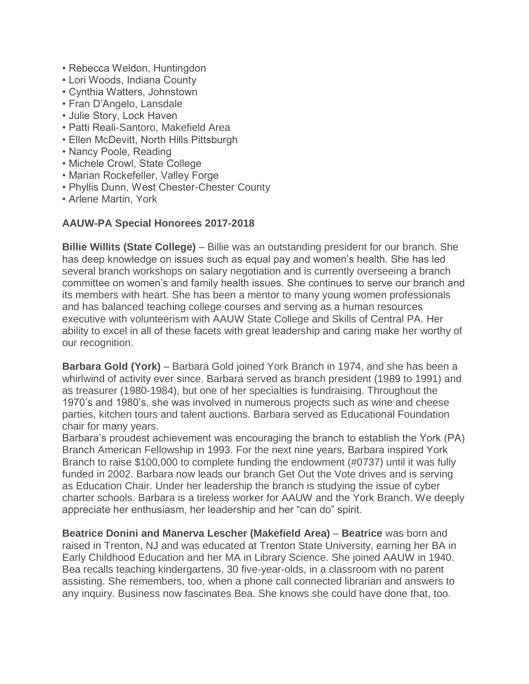- Rebecca Weldon, Huntingdon
- Lori Woods, Indiana County
- Cynthia Watters, Johnstown
- Fran D'Angelo, Lansdale
- Julie Story, Lock Haven
- Patti Reali-Santoro, Makefield Area
- Ellen McDevitt, North Hills Pittsburgh
- Nancy Poole, Reading
- Michele Crowl, State College
- Marian Rockefeller, Valley Forge
- Phyllis Dunn, West Chester-Chester County
- Arlene Martin, York

#### **AAUW-PA Special Honorees 2017-2018**

**Billie Willits (State College)** – Billie was an outstanding president for our branch. She has deep knowledge on issues such as equal pay and women's health. She has led several branch workshops on salary negotiation and is currently overseeing a branch committee on women's and family health issues. She continues to serve our branch and its members with heart. She has been a mentor to many young women professionals and has balanced teaching college courses and serving as a human resources executive with volunteerism with AAUW State College and Skills of Central PA. Her ability to excel in all of these facets with great leadership and caring make her worthy of our recognition.

**Barbara Gold (York)** – Barbara Gold joined York Branch in 1974, and she has been a whirlwind of activity ever since. Barbara served as branch president (1989 to 1991) and as treasurer (1980-1984), but one of her specialties is fundraising. Throughout the 1970's and 1980's, she was involved in numerous projects such as wine and cheese parties, kitchen tours and talent auctions. Barbara served as Educational Foundation chair for many years.

Barbara's proudest achievement was encouraging the branch to establish the York (PA) Branch American Fellowship in 1993. For the next nine years, Barbara inspired York Branch to raise \$100,000 to complete funding the endowment (#0737) until it was fully funded in 2002. Barbara now leads our branch Get Out the Vote drives and is serving as Education Chair. Under her leadership the branch is studying the issue of cyber charter schools. Barbara is a tireless worker for AAUW and the York Branch. We deeply appreciate her enthusiasm, her leadership and her "can do" spirit.

**Beatrice Donini and Manerva Lescher (Makefield Area)** – **Beatrice** was born and raised in Trenton, NJ and was educated at Trenton State University, earning her BA in Early Childhood Education and her MA in Library Science. She joined AAUW in 1940. Bea recalls teaching kindergartens, 30 five-year-olds, in a classroom with no parent assisting. She remembers, too, when a phone call connected librarian and answers to any inquiry. Business now fascinates Bea. She knows she could have done that, too.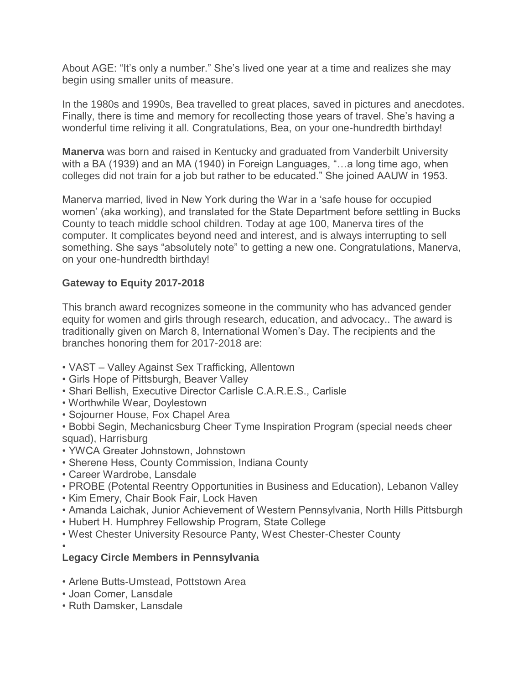About AGE: "It's only a number." She's lived one year at a time and realizes she may begin using smaller units of measure.

In the 1980s and 1990s, Bea travelled to great places, saved in pictures and anecdotes. Finally, there is time and memory for recollecting those years of travel. She's having a wonderful time reliving it all. Congratulations, Bea, on your one-hundredth birthday!

**Manerva** was born and raised in Kentucky and graduated from Vanderbilt University with a BA (1939) and an MA (1940) in Foreign Languages, "...a long time ago, when colleges did not train for a job but rather to be educated." She joined AAUW in 1953.

Manerva married, lived in New York during the War in a 'safe house for occupied women' (aka working), and translated for the State Department before settling in Bucks County to teach middle school children. Today at age 100, Manerva tires of the computer. It complicates beyond need and interest, and is always interrupting to sell something. She says "absolutely note" to getting a new one. Congratulations, Manerva, on your one-hundredth birthday!

#### **Gateway to Equity 2017-2018**

This branch award recognizes someone in the community who has advanced gender equity for women and girls through research, education, and advocacy.. The award is traditionally given on March 8, International Women's Day. The recipients and the branches honoring them for 2017-2018 are:

- VAST Valley Against Sex Trafficking, Allentown
- Girls Hope of Pittsburgh, Beaver Valley
- Shari Bellish, Executive Director Carlisle C.A.R.E.S., Carlisle
- Worthwhile Wear, Doylestown
- Sojourner House, Fox Chapel Area
- Bobbi Segin, Mechanicsburg Cheer Tyme Inspiration Program (special needs cheer squad), Harrisburg
- YWCA Greater Johnstown, Johnstown
- Sherene Hess, County Commission, Indiana County
- Career Wardrobe, Lansdale
- PROBE (Potental Reentry Opportunities in Business and Education), Lebanon Valley
- Kim Emery, Chair Book Fair, Lock Haven
- Amanda Laichak, Junior Achievement of Western Pennsylvania, North Hills Pittsburgh
- Hubert H. Humphrey Fellowship Program, State College
- West Chester University Resource Panty, West Chester-Chester County

•

#### **Legacy Circle Members in Pennsylvania**

- Arlene Butts-Umstead, Pottstown Area
- Joan Comer, Lansdale
- Ruth Damsker, Lansdale